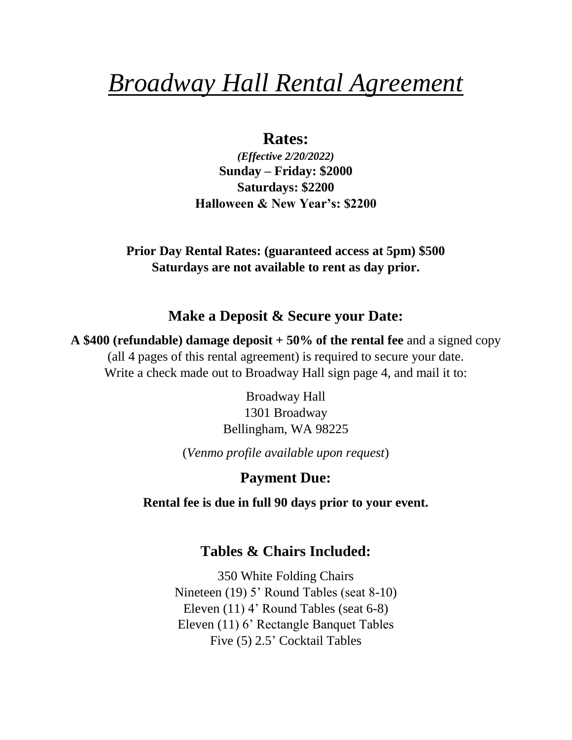# *Broadway Hall Rental Agreement*

### **Rates:**

*(Effective 2/20/2022)* **Sunday – Friday: \$2000 Saturdays: \$2200 Halloween & New Year's: \$2200**

**Prior Day Rental Rates: (guaranteed access at 5pm) \$500 Saturdays are not available to rent as day prior.**

#### **Make a Deposit & Secure your Date:**

**A \$400 (refundable) damage deposit + 50% of the rental fee** and a signed copy (all 4 pages of this rental agreement) is required to secure your date. Write a check made out to Broadway Hall sign page 4, and mail it to:

> Broadway Hall 1301 Broadway Bellingham, WA 98225

(*Venmo profile available upon request*)

#### **Payment Due:**

**Rental fee is due in full 90 days prior to your event.**

#### **Tables & Chairs Included:**

350 White Folding Chairs Nineteen (19) 5' Round Tables (seat 8-10) Eleven (11) 4' Round Tables (seat 6-8) Eleven (11) 6' Rectangle Banquet Tables Five (5) 2.5' Cocktail Tables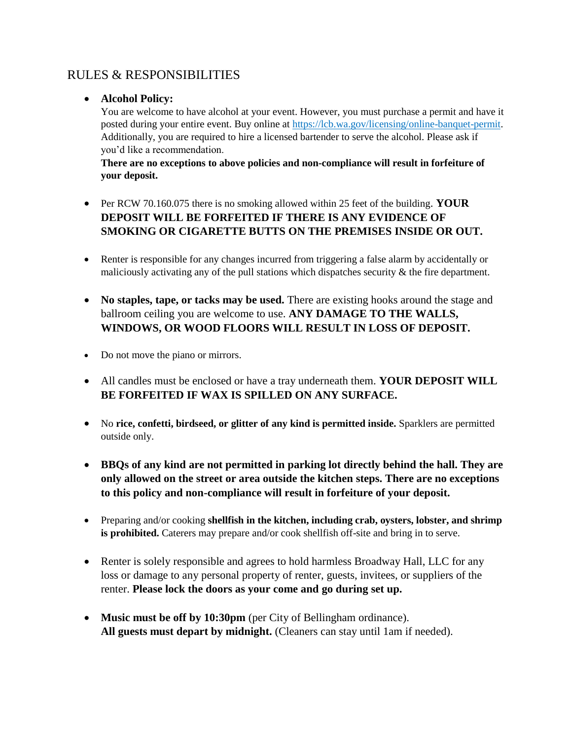#### RULES & RESPONSIBILITIES

#### **Alcohol Policy:**

You are welcome to have alcohol at your event. However, you must purchase a permit and have it posted during your entire event. Buy online at [https://lcb.wa.gov/licensing/online-banquet-permit.](https://lcb.wa.gov/licensing/online-banquet-permit) Additionally, you are required to hire a licensed bartender to serve the alcohol. Please ask if you'd like a recommendation.

**There are no exceptions to above policies and non-compliance will result in forfeiture of your deposit.**

- Per RCW 70.160.075 there is no smoking allowed within 25 feet of the building. **YOUR DEPOSIT WILL BE FORFEITED IF THERE IS ANY EVIDENCE OF SMOKING OR CIGARETTE BUTTS ON THE PREMISES INSIDE OR OUT.**
- Renter is responsible for any changes incurred from triggering a false alarm by accidentally or maliciously activating any of the pull stations which dispatches security  $\&$  the fire department.
- No staples, tape, or tacks may be used. There are existing hooks around the stage and ballroom ceiling you are welcome to use. **ANY DAMAGE TO THE WALLS, WINDOWS, OR WOOD FLOORS WILL RESULT IN LOSS OF DEPOSIT.**
- Do not move the piano or mirrors.
- All candles must be enclosed or have a tray underneath them. **YOUR DEPOSIT WILL BE FORFEITED IF WAX IS SPILLED ON ANY SURFACE.**
- No **rice, confetti, birdseed, or glitter of any kind is permitted inside.** Sparklers are permitted outside only.
- **BBQs of any kind are not permitted in parking lot directly behind the hall. They are only allowed on the street or area outside the kitchen steps. There are no exceptions to this policy and non-compliance will result in forfeiture of your deposit.**
- Preparing and/or cooking **shellfish in the kitchen, including crab, oysters, lobster, and shrimp**  is prohibited. Caterers may prepare and/or cook shellfish off-site and bring in to serve.
- Renter is solely responsible and agrees to hold harmless Broadway Hall, LLC for any loss or damage to any personal property of renter, guests, invitees, or suppliers of the renter. **Please lock the doors as your come and go during set up.**
- **Music must be off by 10:30pm** (per City of Bellingham ordinance). **All guests must depart by midnight.** (Cleaners can stay until 1am if needed).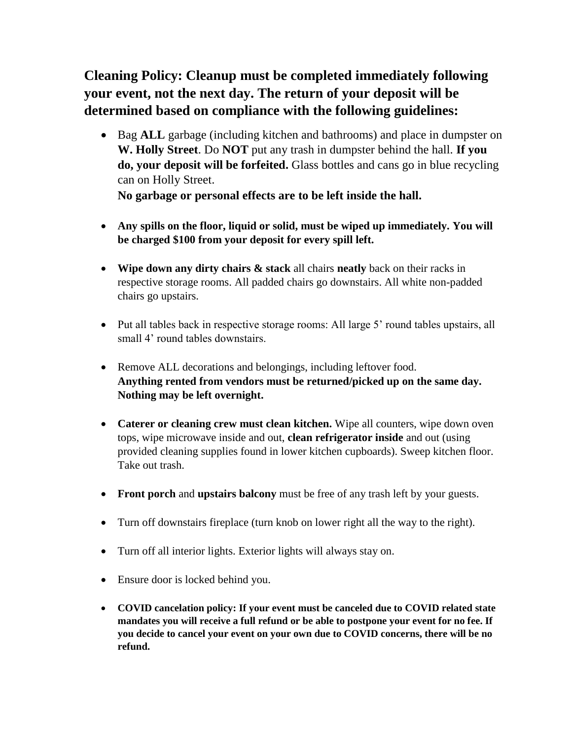## **Cleaning Policy: Cleanup must be completed immediately following your event, not the next day. The return of your deposit will be determined based on compliance with the following guidelines:**

 Bag **ALL** garbage (including kitchen and bathrooms) and place in dumpster on **W. Holly Street**. Do **NOT** put any trash in dumpster behind the hall. **If you do, your deposit will be forfeited.** Glass bottles and cans go in blue recycling can on Holly Street.

**No garbage or personal effects are to be left inside the hall.**

- **Any spills on the floor, liquid or solid, must be wiped up immediately. You will be charged \$100 from your deposit for every spill left.**
- **Wipe down any dirty chairs & stack** all chairs **neatly** back on their racks in respective storage rooms. All padded chairs go downstairs. All white non-padded chairs go upstairs.
- Put all tables back in respective storage rooms: All large 5' round tables upstairs, all small 4' round tables downstairs.
- Remove ALL decorations and belongings, including leftover food. **Anything rented from vendors must be returned/picked up on the same day. Nothing may be left overnight.**
- **Caterer or cleaning crew must clean kitchen.** Wipe all counters, wipe down oven tops, wipe microwave inside and out, **clean refrigerator inside** and out (using provided cleaning supplies found in lower kitchen cupboards). Sweep kitchen floor. Take out trash.
- **Front porch** and **upstairs balcony** must be free of any trash left by your guests.
- Turn off downstairs fireplace (turn knob on lower right all the way to the right).
- Turn off all interior lights. Exterior lights will always stay on.
- Ensure door is locked behind you.
- **COVID cancelation policy: If your event must be canceled due to COVID related state mandates you will receive a full refund or be able to postpone your event for no fee. If you decide to cancel your event on your own due to COVID concerns, there will be no refund.**